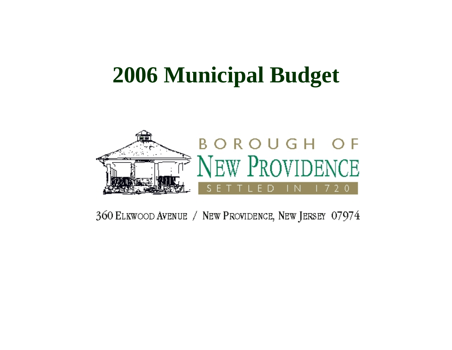### **2006 Municipal Budget**



360 ELKWOOD AVENUE / NEW PROVIDENCE, NEW JERSEY 07974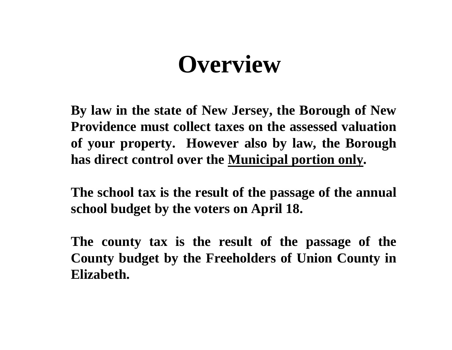## **Overview**

**By law in the state of New Jersey, the Borough of New Providence must collect taxes on the assessed valuation of your property. However also by law, the Borough has direct control over the Municipal portion only.**

**The school tax is the result of the passage of the annual school budget by the voters on April 18.** 

**The county tax is the result of the passage of the County budget by the Freeholders of Union County in Elizabeth.**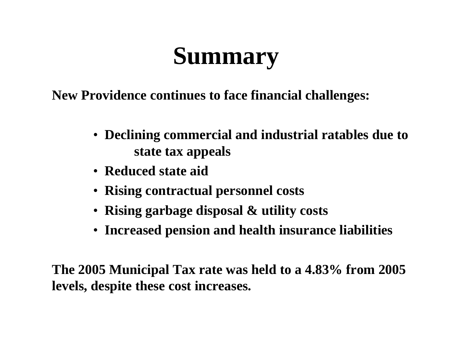# **Summary**

**New Providence continues to face financial challenges:**

- **Declining commercial and industrial ratables due to state tax appeals**
- **Reduced state aid**
- **Rising contractual personnel costs**
- **Rising garbage disposal & utility costs**
- **Increased pension and health insurance liabilities**

**The 2005 Municipal Tax rate was held to a 4.83% from 2005 levels, despite these cost increases.**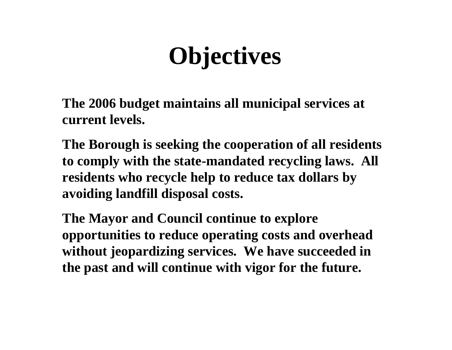# **Objectives**

**The 2006 budget maintains all municipal services at current levels.** 

**The Borough is seeking the cooperation of all residents to comply with the state-mandated recycling laws. All residents who recycle help to reduce tax dollars by avoiding landfill disposal costs.**

**The Mayor and Council continue to explore opportunities to reduce operating costs and overhead without jeopardizing services. We have succeeded in the past and will continue with vigor for the future.**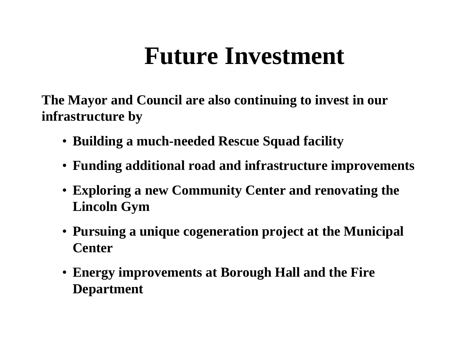# **Future Investment**

**The Mayor and Council are also continuing to invest in our infrastructure by** 

- **Building a much-needed Rescue Squad facility**
- **Funding additional road and infrastructure improvements**
- **Exploring a new Community Center and renovating the Lincoln Gym**
- **Pursuing a unique cogeneration project at the Municipal Center**
- **Energy improvements at Borough Hall and the Fire Department**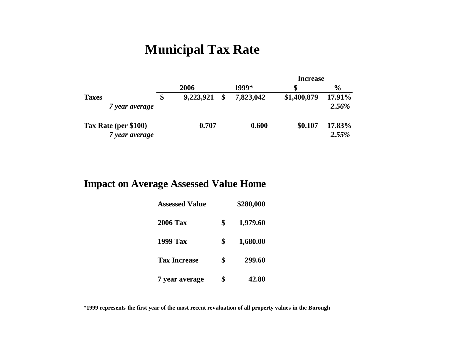### **Municipal Tax Rate**

|                      |                 |               |           | Increase    |               |  |
|----------------------|-----------------|---------------|-----------|-------------|---------------|--|
|                      | 2006            |               | 1999*     |             | $\frac{6}{9}$ |  |
| <b>Taxes</b>         | \$<br>9,223,921 | $\mathbf{\$}$ | 7,823,042 | \$1,400,879 | 17.91%        |  |
| 7 year average       |                 |               |           |             | 2.56%         |  |
| Tax Rate (per \$100) | 0.707           |               | 0.600     | \$0.107     | 17.83%        |  |
| 7 year average       |                 |               |           |             | 2.55%         |  |

#### **Impact on Average Assessed Value Home**

| <b>Assessed Value</b> | \$280,000      |
|-----------------------|----------------|
| <b>2006 Tax</b>       | \$<br>1,979.60 |
| <b>1999 Tax</b>       | \$<br>1,680.00 |
| <b>Tax Increase</b>   | \$<br>299.60   |
| 7 year average        | \$<br>42.80    |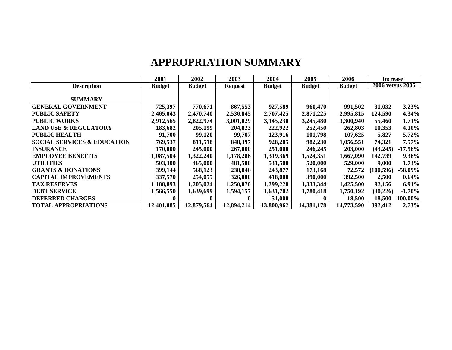#### **APPROPRIATION SUMMARY**

|                                        | 2001          | 2002          | 2003           | 2004          | 2005          | 2006          | <b>Increase</b>  |            |
|----------------------------------------|---------------|---------------|----------------|---------------|---------------|---------------|------------------|------------|
| <b>Description</b>                     | <b>Budget</b> | <b>Budget</b> | <b>Request</b> | <b>Budget</b> | <b>Budget</b> | <b>Budget</b> | 2006 versus 2005 |            |
|                                        |               |               |                |               |               |               |                  |            |
| <b>SUMMARY</b>                         |               |               |                |               |               |               |                  |            |
| <b>GENERAL GOVERNMENT</b>              | 725,397       | 770,671       | 867,553        | 927,589       | 960,470       | 991,502       | 31,032           | 3.23%      |
| <b>PUBLIC SAFETY</b>                   | 2,465,043     | 2,470,740     | 2,536,845      | 2,707,425     | 2,871,225     | 2,995,815     | 124,590          | 4.34%      |
| <b>PUBLIC WORKS</b>                    | 2,912,565     | 2,822,974     | 3,001,029      | 3,145,230     | 3,245,480     | 3,300,940     | 55,460           | 1.71%      |
| <b>LAND USE &amp; REGULATORY</b>       | 183,682       | 205,199       | 204,823        | 222,922       | 252,450       | 262,803       | 10,353           | 4.10%      |
| <b>PUBLIC HEALTH</b>                   | 91,700        | 99,120        | 99,707         | 123,916       | 101,798       | 107,625       | 5,827            | 5.72%      |
| <b>SOCIAL SERVICES &amp; EDUCATION</b> | 769,537       | 811,518       | 848,397        | 928,205       | 982,230       | 1,056,551     | 74,321           | $7.57\%$   |
| <b>INSURANCE</b>                       | 170,000       | 245,000       | 267,000        | 251,000       | 246,245       | 203,000       | (43,245)         | $-17.56\%$ |
| <b>EMPLOYEE BENEFITS</b>               | 1,087,504     | 1,322,240     | 1,178,286      | 1,319,369     | 1,524,351     | 1,667,090     | 142,739          | $9.36\%$   |
| <b>UTILITIES</b>                       | 503,300       | 465,000       | 481,500        | 531,500       | 520,000       | 529,000       | 9,000            | 1.73%      |
| <b>GRANTS &amp; DONATIONS</b>          | 399,144       | 568,123       | 238,846        | 243,877       | 173,168       | 72,572        | (100, 596)       | $-58.09\%$ |
| <b>CAPITAL IMPROVEMENTS</b>            | 337,570       | 254,055       | 326,000        | 418,000       | 390,000       | 392,500       | 2,500            | $0.64\%$   |
| <b>TAX RESERVES</b>                    | 1,188,893     | 1,205,024     | 1,250,070      | 1,299,228     | 1,333,344     | 1,425,500     | 92,156           | $6.91\%$   |
| <b>DEBT SERVICE</b>                    | 1,566,550     | 1,639,699     | 1,594,157      | 1,631,702     | 1,780,418     | 1,750,192     | (30, 226)        | $-1.70%$   |
| <b>DEFERRED CHARGES</b>                | 0             | $\mathbf{0}$  |                | 51,000        | $\mathbf{0}$  | 18,500        | 18,500           | 100.00%    |
| <b>TOTAL APPROPRIATIONS</b>            | 12,401,085    | 12,879,564    | 12,894,214     | 13,800,962    | 14,381,178    | 14,773,590    | 392,412          | 2.73%      |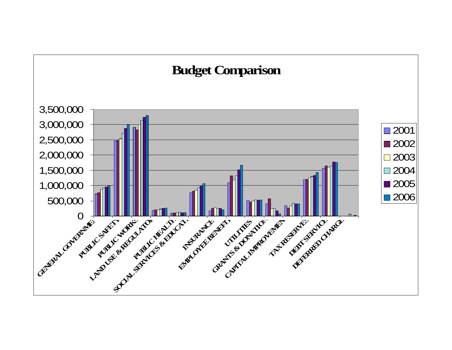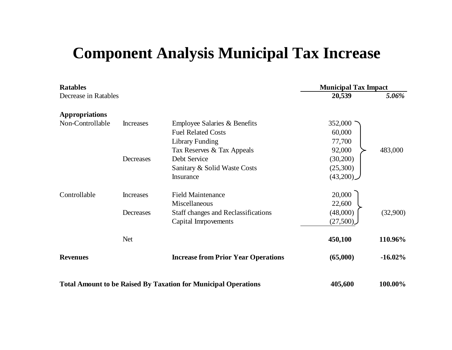### **Component Analysis Municipal Tax Increase**

| <b>Ratables</b>       |                  |                                                                       | <b>Municipal Tax Impact</b> |            |  |
|-----------------------|------------------|-----------------------------------------------------------------------|-----------------------------|------------|--|
| Decrease in Ratables  |                  |                                                                       | 20,539                      | 5.06%      |  |
| <b>Appropriations</b> |                  |                                                                       |                             |            |  |
| Non-Controllable      | <b>Increases</b> | Employee Salaries & Benefits                                          | 352,000                     |            |  |
|                       |                  | <b>Fuel Related Costs</b>                                             | 60,000                      |            |  |
|                       |                  | <b>Library Funding</b>                                                | 77,700                      |            |  |
|                       |                  | Tax Reserves & Tax Appeals                                            | 92,000                      | 483,000    |  |
|                       | Decreases        | Debt Service                                                          | (30,200)                    |            |  |
|                       |                  | Sanitary & Solid Waste Costs                                          | (25,300)                    |            |  |
|                       |                  | Insurance                                                             | (43,200)                    |            |  |
| Controllable          | <b>Increases</b> | <b>Field Maintenance</b>                                              | 20,000                      |            |  |
|                       |                  | Miscellaneous                                                         | 22,600                      |            |  |
|                       | Decreases        | <b>Staff changes and Reclassifications</b>                            | (48,000)                    | (32,900)   |  |
|                       |                  | Capital Imrpovements                                                  | (27,500)                    |            |  |
|                       | <b>Net</b>       |                                                                       | 450,100                     | 110.96%    |  |
| <b>Revenues</b>       |                  | <b>Increase from Prior Year Operations</b>                            | (65,000)                    | $-16.02\%$ |  |
|                       |                  | <b>Total Amount to be Raised By Taxation for Municipal Operations</b> | 405,600                     | 100.00%    |  |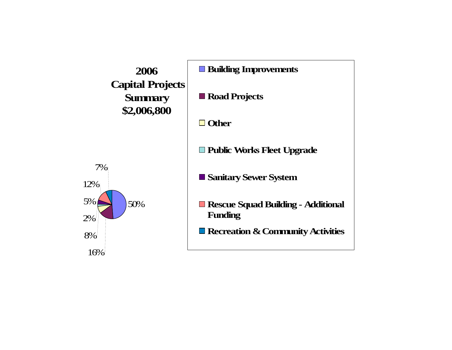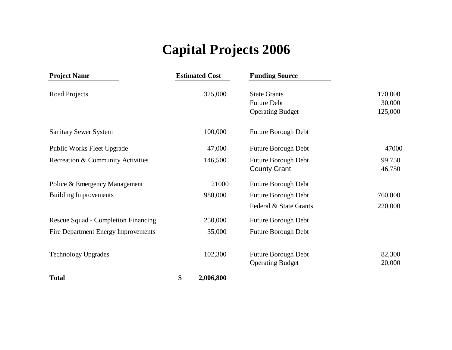### **Capital Projects 2006**

| <b>Project Name</b>                        | <b>Estimated Cost</b> | <b>Funding Source</b>   |         |
|--------------------------------------------|-----------------------|-------------------------|---------|
| Road Projects                              | 325,000               | <b>State Grants</b>     | 170,000 |
|                                            |                       | <b>Future Debt</b>      | 30,000  |
|                                            |                       | <b>Operating Budget</b> | 125,000 |
| <b>Sanitary Sewer System</b>               | 100,000               | Future Borough Debt     |         |
| <b>Public Works Fleet Upgrade</b>          | 47,000                | Future Borough Debt     | 47000   |
| Recreation & Community Activities          | 146,500               | Future Borough Debt     | 99,750  |
|                                            |                       | <b>County Grant</b>     | 46,750  |
| Police & Emergency Management              | 21000                 | Future Borough Debt     |         |
| <b>Building Improvements</b>               | 980,000               | Future Borough Debt     | 760,000 |
|                                            |                       | Federal & State Grants  | 220,000 |
| Rescue Squad - Completion Financing        | 250,000               | Future Borough Debt     |         |
| <b>Fire Department Energy Improvements</b> | 35,000                | Future Borough Debt     |         |
| <b>Technology Upgrades</b>                 | 102,300               | Future Borough Debt     | 82,300  |
|                                            |                       | <b>Operating Budget</b> | 20,000  |
| <b>Total</b>                               | \$<br>2,006,800       |                         |         |